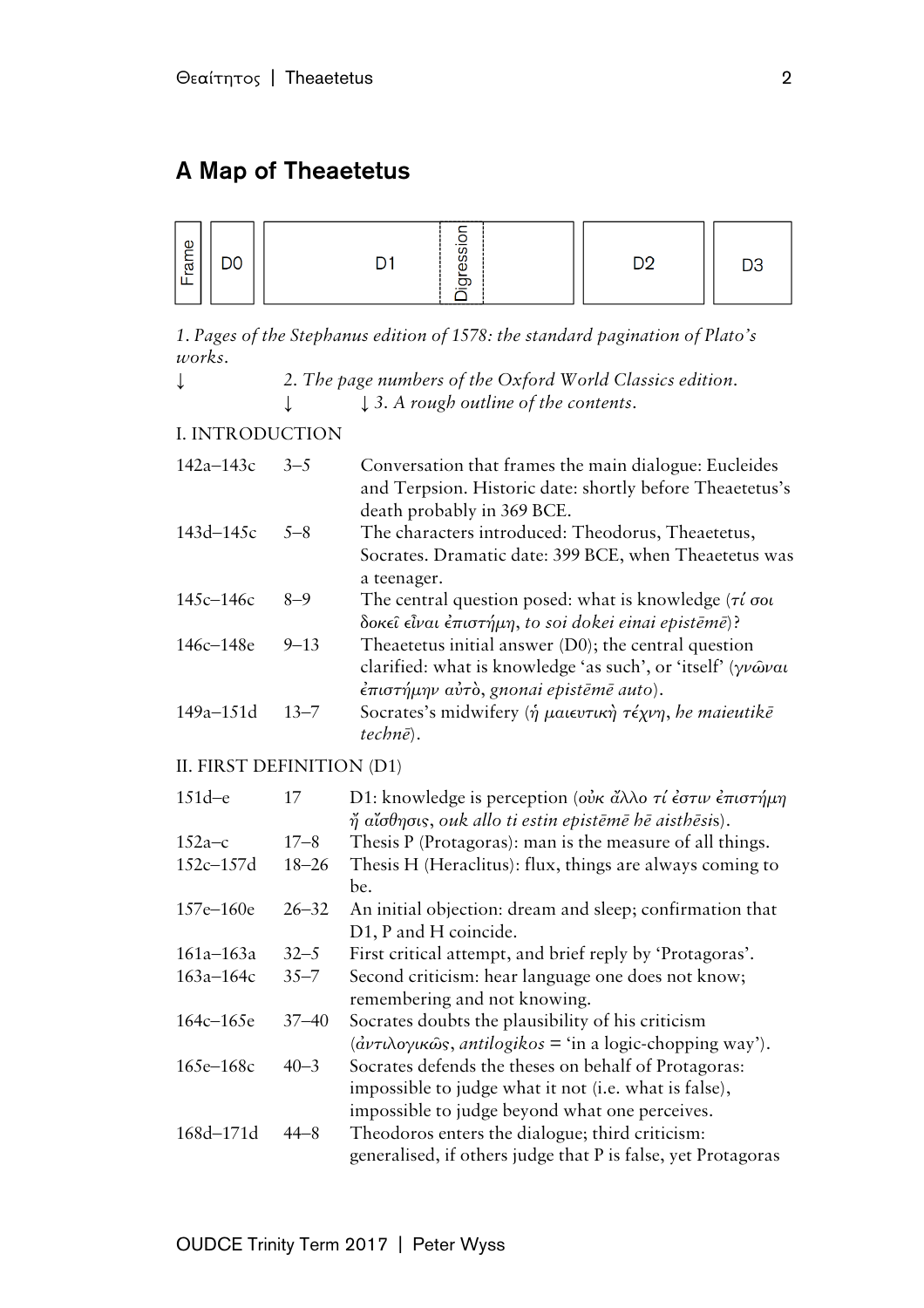# A Map of Theaetetus

| லு<br>∼<br>$\overline{\phantom{0}}$<br>ದ<br><u>_</u> | טע | ∽ | -<br>–<br>$\sqrt{2}$<br>$-$<br>S<br><b>SO</b><br>نه<br>ு | DO<br>◡▵ | D <sub>3</sub> |
|------------------------------------------------------|----|---|----------------------------------------------------------|----------|----------------|
|------------------------------------------------------|----|---|----------------------------------------------------------|----------|----------------|

*1. Pages of the Stephanus edition of 1578: the standard pagination of Plato's works.*

| ↓ | 2. The page numbers of the Oxford World Classics edition. |  |  |  |
|---|-----------------------------------------------------------|--|--|--|
|   | $\downarrow$ 3. A rough outline of the contents.          |  |  |  |

#### I. INTRODUCTION

| $142a - 143c$ | $3 - 5$  | Conversation that frames the main dialogue: Eucleides<br>and Terpsion. Historic date: shortly before Theaetetus's<br>death probably in 369 BCE. |
|---------------|----------|-------------------------------------------------------------------------------------------------------------------------------------------------|
| $143d - 145c$ | $5 - 8$  | The characters introduced: Theodorus, Theaetetus,<br>Socrates. Dramatic date: 399 BCE, when Theaetetus was                                      |
|               |          | a teenager.                                                                                                                                     |
| $145c - 146c$ | $8 - 9$  | The central question posed: what is knowledge $(\tau \circ \sigma \circ \iota)$                                                                 |
|               |          | δοκεί είναι έπιστήμη, to soi dokei einai epistēmē)?                                                                                             |
| 146c–148e     | $9 - 13$ | Theaetetus initial answer $(D0)$ ; the central question                                                                                         |
|               |          | clarified: what is knowledge 'as such', or 'itself' ( $\gamma \nu \hat{\omega} \nu \alpha \nu$                                                  |
|               |          | $\epsilon \pi$ ιστήμην αύτὸ, gnonai epistēmē auto).                                                                                             |
| $149a - 151d$ | $13 - 7$ | Socrates's midwifery ( $\eta$ μαιευτική τέχνη, he maieutike                                                                                     |
|               |          | $techn\bar{e}$ ).                                                                                                                               |

#### II. FIRST DEFINITION (D1)

| $151d-e$      | 17        | D1: knowledge is perception (ούκ άλλο τί έστιν έπιστήμη                                                      |
|---------------|-----------|--------------------------------------------------------------------------------------------------------------|
|               |           | $\eta$ alothous, ouk allo ti estin epistēmē hē aisthēsis).                                                   |
| $152a-c$      | $17 - 8$  | Thesis P (Protagoras): man is the measure of all things.                                                     |
| $152c - 157d$ | $18 - 26$ | Thesis H (Heraclitus): flux, things are always coming to                                                     |
|               |           | be.                                                                                                          |
| $157e - 160e$ | $26 - 32$ | An initial objection: dream and sleep; confirmation that                                                     |
|               |           | D1, P and H coincide.                                                                                        |
| $161a - 163a$ | $32 - 5$  | First critical attempt, and brief reply by 'Protagoras'.                                                     |
| $163a - 164c$ | $35 - 7$  | Second criticism: hear language one does not know;                                                           |
|               |           | remembering and not knowing.                                                                                 |
| $164c - 165e$ | $37 - 40$ | Socrates doubts the plausibility of his criticism                                                            |
|               |           | $(\dot{a}\nu\tau\mu\lambda o\gamma\mu\kappa\hat{\omega}s$ , <i>antilogikos</i> = 'in a logic-chopping way'). |
| 165e-168c     | $40 - 3$  | Socrates defends the theses on behalf of Protagoras:                                                         |
|               |           | impossible to judge what it not (i.e. what is false),                                                        |
|               |           | impossible to judge beyond what one perceives.                                                               |
| 168d-171d     | $44 - 8$  | Theodoros enters the dialogue; third criticism:                                                              |
|               |           | generalised, if others judge that P is false, yet Protagoras                                                 |